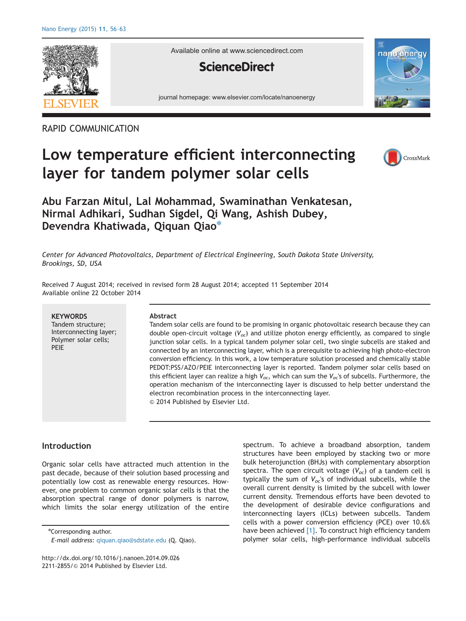

Available online at www.sciencedirect.com

## **ScienceDirect**

journal homepage: www.elsevier.com/locate/nanoenergy



### RAPID COMMUNICATION

# Low temperature efficient interconnecting layer for tandem polymer solar cells



## Abu Farzan Mitul, Lal Mohammad, Swaminathan Venkatesan, Nirmal Adhikari, Sudhan Sigdel, Qi Wang, Ashish Dubey, Devendra Khatiwada, Qiquan Qiao\*

Center for Advanced Photovoltaics, Department of Electrical Engineering, South Dakota State University, Brookings, SD, USA

Received 7 August 2014; received in revised form 28 August 2014; accepted 11 September 2014 Available online 22 October 2014

| <b>KEYWORDS</b><br>Tandem structure;<br>Interconnecting layer;<br>Polymer solar cells;<br>PEIE | Abstract<br>Tandem solar cells are found to be promising in organic photovoltaic research because they can<br>double open-circuit voltage $(V_{oc})$ and utilize photon energy efficiently, as compared to single<br>junction solar cells. In a typical tandem polymer solar cell, two single subcells are staked and<br>connected by an interconnecting layer, which is a prerequisite to achieving high photo-electron<br>conversion efficiency. In this work, a low temperature solution processed and chemically stable<br>PEDOT:PSS/AZO/PEIE interconnecting layer is reported. Tandem polymer solar cells based on<br>this efficient layer can realize a high $V_{oc}$ , which can sum the $V_{oc}$ 's of subcells. Furthermore, the<br>operation mechanism of the interconnecting layer is discussed to help better understand the<br>electron recombination process in the interconnecting layer.<br>© 2014 Published by Elsevier Ltd. |
|------------------------------------------------------------------------------------------------|------------------------------------------------------------------------------------------------------------------------------------------------------------------------------------------------------------------------------------------------------------------------------------------------------------------------------------------------------------------------------------------------------------------------------------------------------------------------------------------------------------------------------------------------------------------------------------------------------------------------------------------------------------------------------------------------------------------------------------------------------------------------------------------------------------------------------------------------------------------------------------------------------------------------------------------------|
|                                                                                                |                                                                                                                                                                                                                                                                                                                                                                                                                                                                                                                                                                                                                                                                                                                                                                                                                                                                                                                                                |

#### Introduction

Organic solar cells have attracted much attention in the past decade, because of their solution based processing and potentially low cost as renewable energy resources. However, one problem to common organic solar cells is that the absorption spectral range of donor polymers is narrow, which limits the solar energy utilization of the entire

\*Corresponding author.

spectrum. To achieve a broadband absorption, tandem structures have been employed by stacking two or more bulk heterojunction (BHJs) with complementary absorption spectra. The open circuit voltage  $(V_{oc})$  of a tandem cell is typically the sum of  $V_{oc}$ 's of individual subcells, while the overall current density is limited by the subcell with lower current density. Tremendous efforts have been devoted to the development of desirable device configurations and interconnecting layers (ICLs) between subcells. Tandem cells with a power conversion efficiency (PCE) over 10.6% have been achieved [1]. To construct high efficiency tandem polymer solar cells, high-performance individual subcells

E-mail address: [qiquan.qiao@sdstate.edu](mailto:qiquan.qiao@sdstate.edu) (Q. Qiao).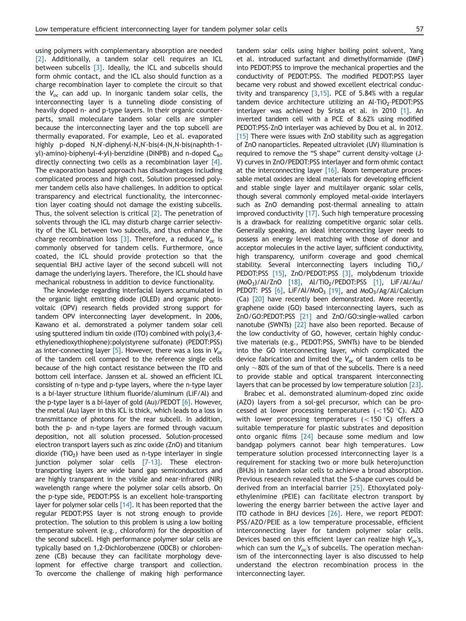using polymers with complementary absorption are needed [2]. Additionally, a tandem solar cell requires an ICL between subcells [3]. Ideally, the ICL and subcells should form ohmic contact, and the ICL also should function as a charge recombination layer to complete the circuit so that the  $V_{\alpha c}$  can add up. In inorganic tandem solar cells, the interconnecting layer is a tunneling diode consisting of heavily doped n- and p-type layers. In their organic counterparts, small moleculare tandem solar cells are simpler because the interconnecting layer and the top subcell are thermally evaporated. For example, Leo et al. evaporated highly p-doped N,N'-diphenyl-N,N'-bis(4-(N,N-bis(naphth-1 yl)-amino)-biphenyl-4-yl)-benzidine (DiNPB) and n-doped  $C_{60}$ directly connecting two cells as a recombination layer [4]. The evaporation based approach has disadvantages including complicated process and high cost. Solution processed polymer tandem cells also have challenges. In addition to optical transparency and electrical functionality, the interconnection layer coating should not damage the existing subcells. Thus, the solvent selection is critical [2]. The penetration of solvents through the ICL may disturb charge carrier selectivity of the ICL between two subcells, and thus enhance the charge recombination loss [3]. Therefore, a reduced  $V_{oc}$  is commonly observed for tandem cells. Furthermore, once coated, the ICL should provide protection so that the sequential BHJ active layer of the second subcell will not damage the underlying layers. Therefore, the ICL should have mechanical robustness in addition to device functionality.

The knowledge regarding interfacial layers accumulated in the organic light emitting diode (OLED) and organic photovoltaic (OPV) research fields provided strong support for tandem OPV interconnecting layer development. In 2006, Kawano et al. demonstrated a polymer tandem solar cell using sputtered indium tin oxide (ITO) combined with poly(3,4 ethylenedioxythiophene):poly(styrene sulfonate) (PEDOT:PSS) as inter-connecting layer [5]. However, there was a loss in  $V_{oc}$ of the tandem cell compared to the reference single cells because of the high contact resistance between the ITO and bottom cell interface. Janssen et al. showed an efficient ICL consisting of n-type and p-type layers, where the n-type layer is a bi-layer structure lithium fluoride/aluminum (LiF/Al) and the p-type layer is a bi-layer of gold (Au)/PEDOT [6]. However, the metal (Au) layer in this ICL is thick, which leads to a loss in transmittance of photons for the rear subcell. In addition, both the p- and n-type layers are formed through vacuum deposition, not all solution processed. Solution-processed electron transport layers such as zinc oxide (ZnO) and titanium dioxide (TiO<sub>2</sub>) have been used as n-type interlayer in single junction polymer solar cells [7-13]. These electrontransporting layers are wide band gap semiconductors and are highly transparent in the visible and near-infrared (NIR) wavelength range where the polymer solar cells absorb. On the p-type side, PEDOT:PSS is an excellent hole-transporting layer for polymer solar cells  $[14]$ . It has been reported that the regular PEDOT:PSS layer is not strong enough to provide protection. The solution to this problem is using a low boiling temperature solvent (e.g., chloroform) for the deposition of the second subcell. High performance polymer solar cells are typically based on 1,2-Dichlorobenzene (ODCB) or chlorobenzene (CB) because they can facilitate morphology development for effective charge transport and collection. To overcome the challenge of making high performance tandem solar cells using higher boiling point solvent, Yang et al. introduced surfactant and dimethylformamide (DMF) into PEDOT:PSS to improve the mechanical properties and the conductivity of PEDOT:PSS. The modified PEDOT:PSS layer became very robust and showed excellent electrical conductivity and transparency [3,15]. PCE of 5.84% with a regular tandem device architecture utilizing an  $Al-TiO<sub>2</sub>-PEDOT:PSS$ interlayer was achieved by Srista et al. in 2010 [1]. An inverted tandem cell with a PCE of 8.62% using modified PEDOT:PSS-ZnO interlayer was achieved by Dou et al. in 2012. [15] There were issues with ZnO stability such as aggregation of ZnO nanoparticles. Repeated ultraviolet (UV) illumination is required to remove the "S shape" current density–voltage (J-V) curves in ZnO/PEDOT:PSS interlayer and form ohmic contact at the interconnecting layer  $[16]$ . Room temperature processable metal oxides are ideal materials for developing efficient and stable single layer and multilayer organic solar cells, though several commonly employed metal-oxide interlayers such as ZnO demanding post-thermal annealing to attain improved conductivity [17]. Such high temperature processing is a drawback for realizing competitive organic solar cells. Generally speaking, an ideal interconnecting layer needs to possess an energy level matching with those of donor and acceptor molecules in the active layer, sufficient conductivity, high transparency, uniform coverage and good chemical stability. Several interconnecting layers including  $TiO<sub>x</sub>/$ PEDOT:PSS [15], ZnO/PEDOT:PSS [3], molybdenum trioxide (MoO3)/Al/ZnO [18], Al/TiO2/PEDOT:PSS [1], LiF/Al/Au/ PEDOT: PSS  $[6]$ , LiF/Al/MoO<sub>3</sub>  $[19]$ , and MoO<sub>3</sub>/Ag/Al/Calcium (Ca) [20] have recently been demonstrated. More recently, graphene oxide (GO) based interconnecting layers, such as ZnO/GO:PEDOT:PSS [21] and ZnO/GO:single-walled carbon nanotube (SWNTs) [22] have also been reported. Because of the low conductivity of GO, however, certain highly conductive materials (e.g., PEDOT:PSS, SWNTs) have to be blended into the GO interconnecting layer, which complicated the device fabrication and limited the  $V_{\alpha}$  of tandem cells to be only  $\sim$  80% of the sum of that of the subcells. There is a need to provide stable and optical transparent interconnecting layers that can be processed by low temperature solution [23].

Brabec et al. demonstrated aluminum-doped zinc oxide (AZO) layers from a sol-gel precursor, which can be processed at lower processing temperatures  $(<150 \degree C)$ . AZO with lower processing temperatures ( $<$ 150 °C) offers a suitable temperature for plastic substrates and deposition onto organic films [24] because some medium and low bandgap polymers cannot bear high temperatures. Low temperature solution processed interconnecting layer is a requirement for stacking two or more bulk heterojunction (BHJs) in tandem solar cells to achieve a broad absorption. Previous research revealed that the S-shape curves could be derived from an interfacial barrier [25]. Ethoxylated polyethylenimine (PEIE) can facilitate electron transport by lowering the energy barrier between the active layer and ITO cathode in BHJ devices [26]. Here, we report PEDOT: PSS/AZO/PEIE as a low temperature processable, efficient interconnecting layer for tandem polymer solar cells. Devices based on this efficient layer can realize high  $V_{oc}$ 's, which can sum the  $V_{oc}$ 's of subcells. The operation mechanism of the interconnecting layer is also discussed to help understand the electron recombination process in the interconnecting layer.